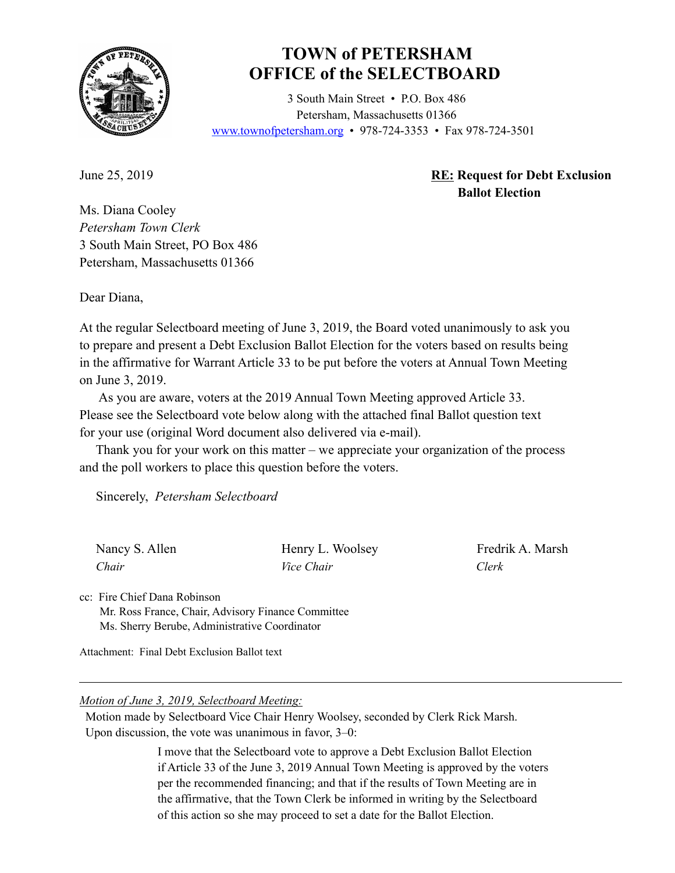

## **TOWN of PETERSHAM OFFICE of the SELECTBOARD**

 3 South Main Street • P.O. Box 486 Petersham, Massachusetts 01366 www.townofpetersham.org • 978-724-3353 • Fax 978-724-3501

## June 25, 2019 **RE: Request for Debt Exclusion Ballot Election**

Ms. Diana Cooley *Petersham Town Clerk* 3 South Main Street, PO Box 486 Petersham, Massachusetts 01366

Dear Diana,

At the regular Selectboard meeting of June 3, 2019, the Board voted unanimously to ask you to prepare and present a Debt Exclusion Ballot Election for the voters based on results being in the affirmative for Warrant Article 33 to be put before the voters at Annual Town Meeting on June 3, 2019.

 As you are aware, voters at the 2019 Annual Town Meeting approved Article 33. Please see the Selectboard vote below along with the attached final Ballot question text for your use (original Word document also delivered via e-mail).

 Thank you for your work on this matter – we appreciate your organization of the process and the poll workers to place this question before the voters.

Sincerely, *Petersham Selectboard*

| Nancy S. Allen | Henry L. Woolsey  | Fredrik A. Marsh |
|----------------|-------------------|------------------|
| Chair          | <i>Vice Chair</i> | Clerk            |

cc: Fire Chief Dana Robinson Mr. Ross France, Chair, Advisory Finance Committee Ms. Sherry Berube, Administrative Coordinator

Attachment: Final Debt Exclusion Ballot text

## *Motion of June 3, 2019, Selectboard Meeting:*

 Motion made by Selectboard Vice Chair Henry Woolsey, seconded by Clerk Rick Marsh. Upon discussion, the vote was unanimous in favor, 3–0:

> I move that the Selectboard vote to approve a Debt Exclusion Ballot Election if Article 33 of the June 3, 2019 Annual Town Meeting is approved by the voters per the recommended financing; and that if the results of Town Meeting are in the affirmative, that the Town Clerk be informed in writing by the Selectboard of this action so she may proceed to set a date for the Ballot Election.